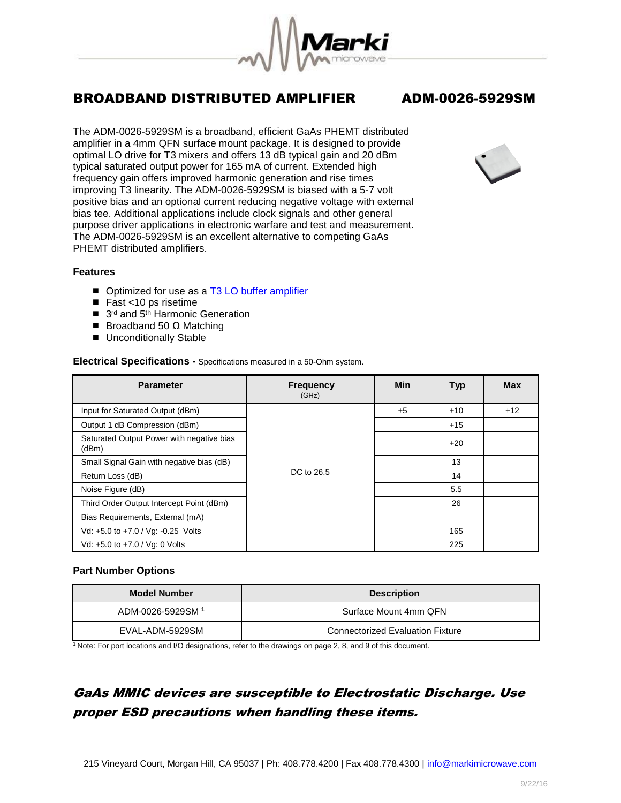

The ADM-0026-5929SM is a broadband, efficient GaAs PHEMT distributed amplifier in a 4mm QFN surface mount package. It is designed to provide optimal LO drive for T3 mixers and offers 13 dB typical gain and 20 dBm typical saturated output power for 165 mA of current. Extended high frequency gain offers improved harmonic generation and rise times improving T3 linearity. The ADM-0026-5929SM is biased with a 5-7 volt positive bias and an optional current reducing negative voltage with external bias tee. Additional applications include clock signals and other general purpose driver applications in electronic warfare and test and measurement. The ADM-0026-5929SM is an excellent alternative to competing GaAs PHEMT distributed amplifiers.



### **Features**

- Optimized for use as a [T3 LO buffer amplifier](http://www.markimicrowave.com/2770/Mixers.aspx?ShowTab=84)
- Fast <10 ps risetime
- 3<sup>rd</sup> and 5<sup>th</sup> Harmonic Generation
- Broadband 50  $Ω$  Matching
- **Unconditionally Stable**

### **Electrical Specifications -** Specifications measured in a 50-Ohm system.

| <b>Parameter</b>                                   | <b>Frequency</b><br>(GHz) | Min  | <b>Typ</b> | <b>Max</b> |
|----------------------------------------------------|---------------------------|------|------------|------------|
| Input for Saturated Output (dBm)                   |                           | $+5$ | $+10$      | $+12$      |
| Output 1 dB Compression (dBm)                      |                           |      | $+15$      |            |
| Saturated Output Power with negative bias<br>(dBm) |                           |      | $+20$      |            |
| Small Signal Gain with negative bias (dB)          |                           |      | 13         |            |
| Return Loss (dB)                                   | DC to 26.5                |      | 14         |            |
| Noise Figure (dB)                                  |                           |      | 5.5        |            |
| Third Order Output Intercept Point (dBm)           |                           |      | 26         |            |
| Bias Requirements, External (mA)                   |                           |      |            |            |
| Vd: +5.0 to +7.0 / Vg: -0.25 Volts                 |                           |      | 165        |            |
| Vd: +5.0 to +7.0 / Vg: 0 Volts                     |                           |      | 225        |            |

### **Part Number Options**

| <b>Model Number</b> | <b>Description</b>                      |  |
|---------------------|-----------------------------------------|--|
| ADM-0026-5929SM 1   | Surface Mount 4mm QFN                   |  |
| EVAL-ADM-5929SM     | <b>Connectorized Evaluation Fixture</b> |  |

<sup>1</sup>Note: For port locations and I/O designations, refer to the drawings on page 2, 8, and 9 of this document.

# GaAs MMIC devices are susceptible to Electrostatic Discharge. Use proper ESD precautions when handling these items.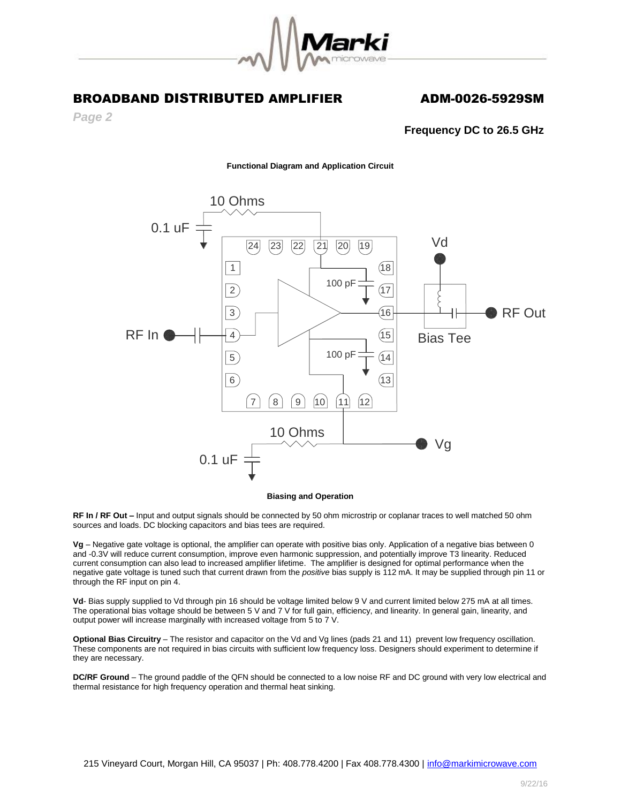

*Page 2*

### **Frequency DC to 26.5 GHz**

**Functional Diagram and Application Circuit**



### **Biasing and Operation**

**RF In / RF Out –** Input and output signals should be connected by 50 ohm microstrip or coplanar traces to well matched 50 ohm sources and loads. DC blocking capacitors and bias tees are required.

**Vg** – Negative gate voltage is optional, the amplifier can operate with positive bias only. Application of a negative bias between 0 and -0.3V will reduce current consumption, improve even harmonic suppression, and potentially improve T3 linearity. Reduced current consumption can also lead to increased amplifier lifetime. The amplifier is designed for optimal performance when the negative gate voltage is tuned such that current drawn from the *positive* bias supply is 112 mA. It may be supplied through pin 11 or through the RF input on pin 4.

Vd- Bias supply supplied to Vd through pin 16 should be voltage limited below 9 V and current limited below 275 mA at all times. The operational bias voltage should be between 5 V and 7 V for full gain, efficiency, and linearity. In general gain, linearity, and output power will increase marginally with increased voltage from 5 to 7 V.

**Optional Bias Circuitry** – The resistor and capacitor on the Vd and Vg lines (pads 21 and 11) prevent low frequency oscillation. These components are not required in bias circuits with sufficient low frequency loss. Designers should experiment to determine if they are necessary.

**DC/RF Ground** – The ground paddle of the QFN should be connected to a low noise RF and DC ground with very low electrical and thermal resistance for high frequency operation and thermal heat sinking.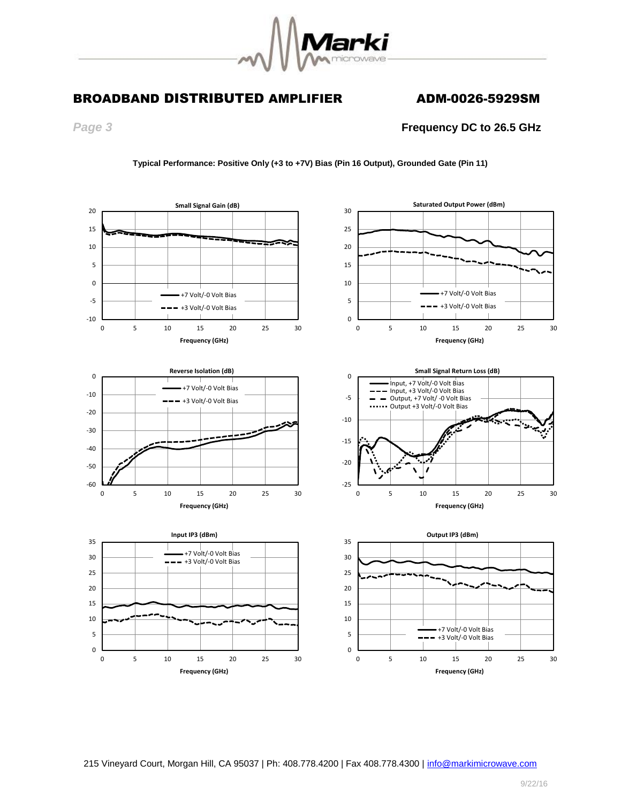

*Page 3* **Frequency DC to 26.5 GHz**



**Typical Performance: Positive Only (+3 to +7V) Bias (Pin 16 Output), Grounded Gate (Pin 11)**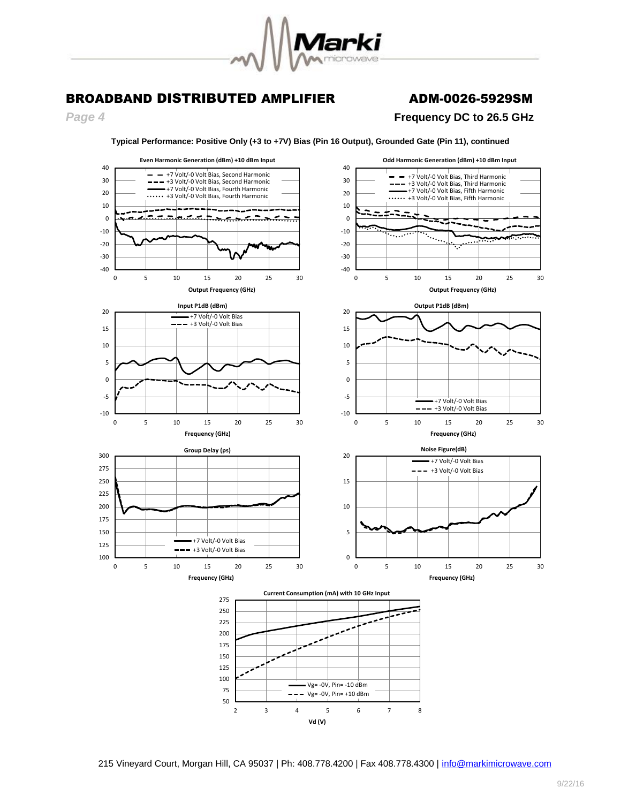

# *Page 4* **Frequency DC to 26.5 GHz**



**Typical Performance: Positive Only (+3 to +7V) Bias (Pin 16 Output), Grounded Gate (Pin 11), continued**

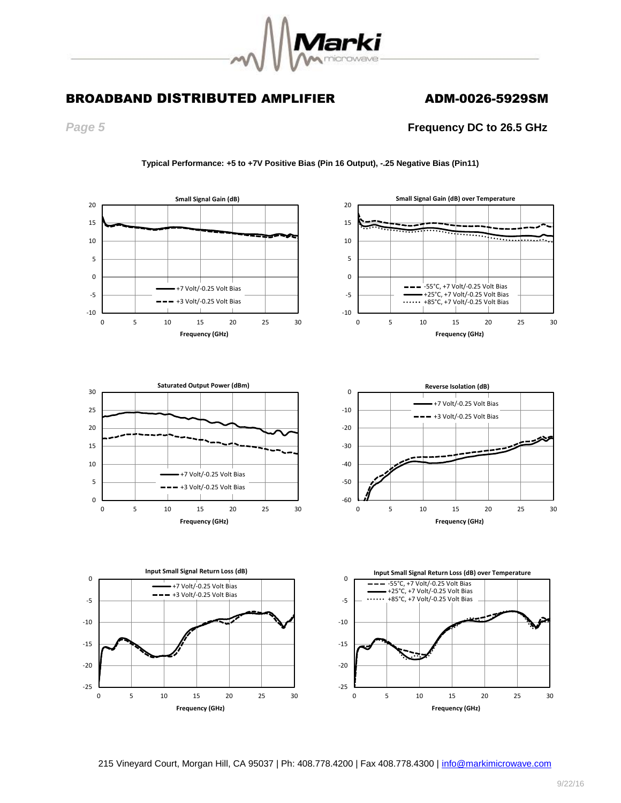

*Page 5* **Frequency DC to 26.5 GHz**



**Typical Performance: +5 to +7V Positive Bias (Pin 16 Output), -.25 Negative Bias (Pin11)**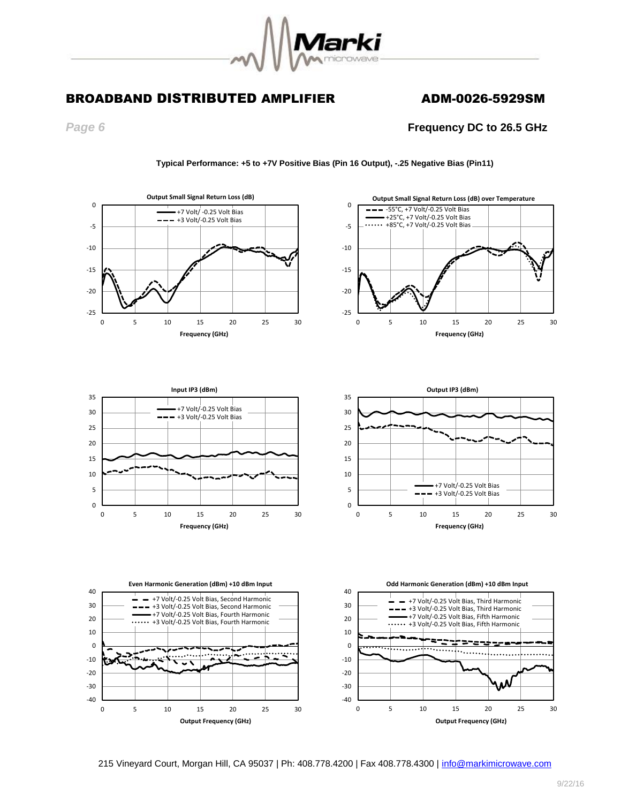

*Page 6* **Frequency DC to 26.5 GHz**











### **Typical Performance: +5 to +7V Positive Bias (Pin 16 Output), -.25 Negative Bias (Pin11)**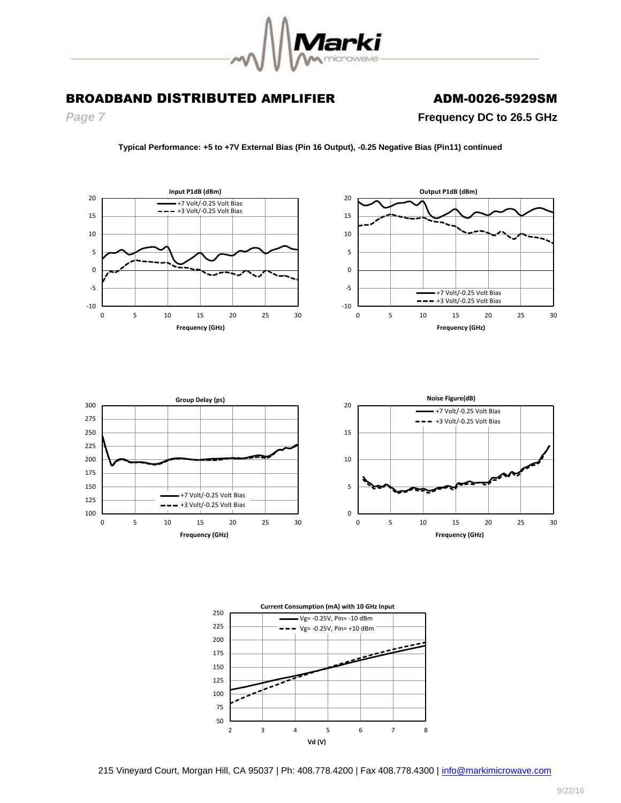

**Frequency (GHz)**

*Page 7* **Frequency DC to 26.5 GHz**

**Frequency (GHz)**

**Typical Performance: +5 to +7V External Bias (Pin 16 Output), -0.25 Negative Bias (Pin11) continued**



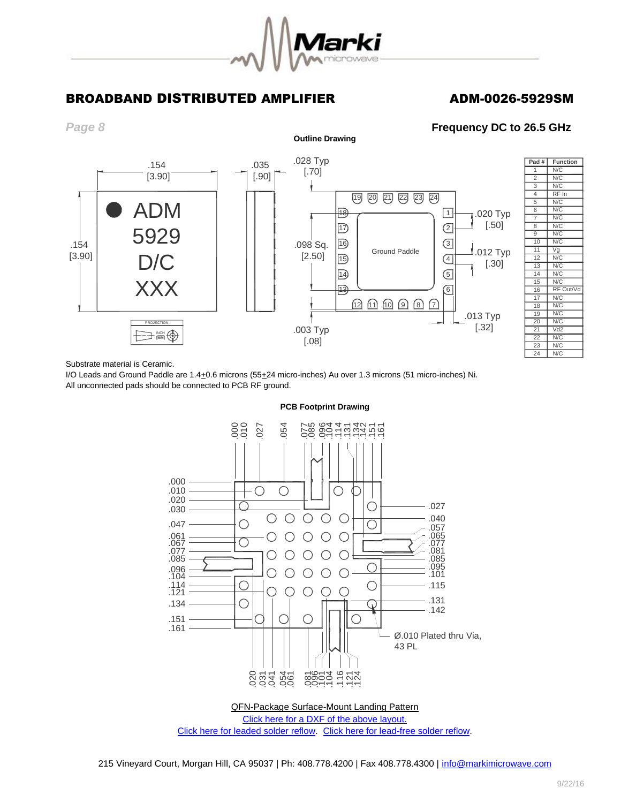

*Page 8* **Frequency DC to 26.5 GHz**



Substrate material is Ceramic.

I/O Leads and Ground Paddle are 1.4+0.6 microns (55+24 micro-inches) Au over 1.3 microns (51 micro-inches) Ni. All unconnected pads should be connected to PCB RF ground.



### **PCB Footprint Drawing**

[Click here for leaded solder reflow.](http://www.markimicrowave.com/Assets/appnotes/reflow.pdf) [Click here for lead-free solder reflow.](http://www.markimicrowave.com/Assets/appnotes/reflow-lf.pdf)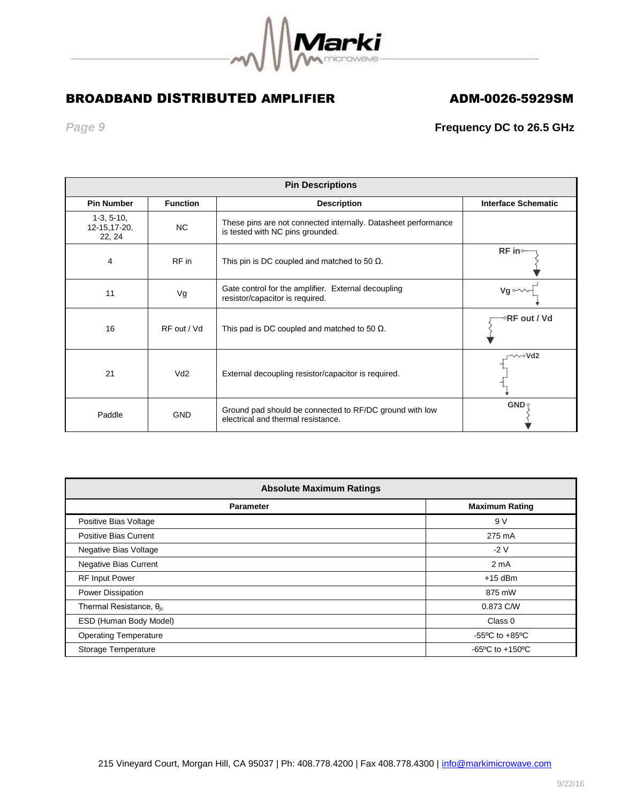

*Page 9* **Frequency DC to 26.5 GHz**

| <b>Pin Descriptions</b>                 |                 |                                                                                                    |                            |
|-----------------------------------------|-----------------|----------------------------------------------------------------------------------------------------|----------------------------|
| <b>Pin Number</b>                       | <b>Function</b> | <b>Description</b>                                                                                 | <b>Interface Schematic</b> |
| $1-3, 5-10,$<br>12-15, 17-20,<br>22, 24 | <b>NC</b>       | These pins are not connected internally. Datasheet performance<br>is tested with NC pins grounded. |                            |
| 4                                       | RF in           | This pin is DC coupled and matched to 50 $\Omega$ .                                                | $RF$ in $\sim$             |
| 11                                      | Vg              | Gate control for the amplifier. External decoupling<br>resistor/capacitor is required.             | $Vg \sim$                  |
| 16                                      | RF out / Vd     | This pad is DC coupled and matched to 50 $\Omega$ .                                                | ⊸RF out / Vd               |
| 21                                      | Vd2             | External decoupling resistor/capacitor is required.                                                | $\sim$ Vd2                 |
| Paddle                                  | <b>GND</b>      | Ground pad should be connected to RF/DC ground with low<br>electrical and thermal resistance.      | $GND$ ?                    |

| <b>Absolute Maximum Ratings</b>   |                                                      |  |  |  |
|-----------------------------------|------------------------------------------------------|--|--|--|
| <b>Parameter</b>                  | <b>Maximum Rating</b>                                |  |  |  |
| Positive Bias Voltage             | 9 V                                                  |  |  |  |
| <b>Positive Bias Current</b>      | 275 mA                                               |  |  |  |
| <b>Negative Bias Voltage</b>      | $-2V$                                                |  |  |  |
| Negative Bias Current             | 2 <sub>m</sub> A                                     |  |  |  |
| <b>RF Input Power</b>             | $+15$ dBm                                            |  |  |  |
| Power Dissipation                 | 875 mW                                               |  |  |  |
| Thermal Resistance, $\theta_{ic}$ | 0.873 C/W                                            |  |  |  |
| ESD (Human Body Model)            | Class 0                                              |  |  |  |
| <b>Operating Temperature</b>      | -55 $\mathrm{^{\circ}C}$ to +85 $\mathrm{^{\circ}C}$ |  |  |  |
| Storage Temperature               | $-65^{\circ}$ C to $+150^{\circ}$ C                  |  |  |  |